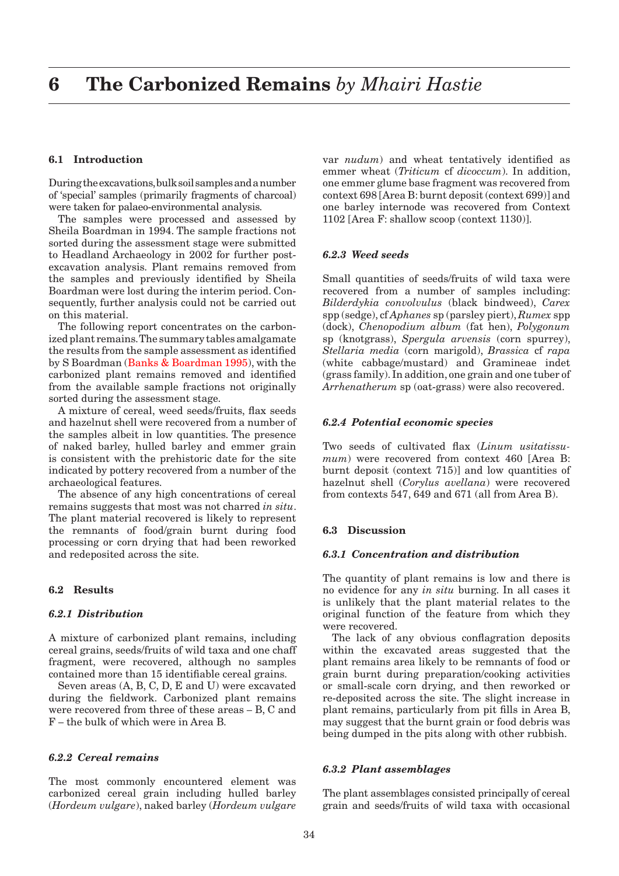# **6.1 Introduction**

During the excavations, bulk soil samples and a number of 'special' samples (primarily fragments of charcoal) were taken for palaeo-environmental analysis.

The samples were processed and assessed by Sheila Boardman in 1994. The sample fractions not sorted during the assessment stage were submitted to Headland Archaeology in 2002 for further postexcavation analysis. Plant remains removed from the samples and previously identified by Sheila Boardman were lost during the interim period. Consequently, further analysis could not be carried out on this material.

The following report concentrates on the carbonized plant remains. The summary tables amalgamate the results from the sample assessment as identified by S Boardman [\(Banks & Boardman 1995\)](#page--1-0), with the carbonized plant remains removed and identified from the available sample fractions not originally sorted during the assessment stage.

A mixture of cereal, weed seeds/fruits, flax seeds and hazelnut shell were recovered from a number of the samples albeit in low quantities. The presence of naked barley, hulled barley and emmer grain is consistent with the prehistoric date for the site indicated by pottery recovered from a number of the archaeological features.

The absence of any high concentrations of cereal remains suggests that most was not charred *in situ*. The plant material recovered is likely to represent the remnants of food/grain burnt during food processing or corn drying that had been reworked and redeposited across the site.

## **6.2 Results**

# *6.2.1 Distribution*

A mixture of carbonized plant remains, including cereal grains, seeds/fruits of wild taxa and one chaff fragment, were recovered, although no samples contained more than 15 identifiable cereal grains.

Seven areas (A, B, C, D, E and U) were excavated during the fieldwork. Carbonized plant remains were recovered from three of these areas – B, C and F – the bulk of which were in Area B.

## *6.2.2 Cereal remains*

The most commonly encountered element was carbonized cereal grain including hulled barley (*Hordeum vulgare*), naked barley (*Hordeum vulgare*  var *nudum*) and wheat tentatively identified as emmer wheat (*Triticum* cf *dicoccum*). In addition, one emmer glume base fragment was recovered from context 698 [Area B: burnt deposit (context 699)] and one barley internode was recovered from Context 1102 [Area F: shallow scoop (context 1130)].

### *6.2.3 Weed seeds*

Small quantities of seeds/fruits of wild taxa were recovered from a number of samples including: *Bilderdykia convolvulus* (black bindweed), *Carex* spp (sedge), cf *Aphanes* sp (parsley piert), *Rumex* spp (dock), *Chenopodium album* (fat hen), *Polygonum* sp (knotgrass), *Spergula arvensis* (corn spurrey), *Stellaria media* (corn marigold), *Brassica* cf *rapa* (white cabbage/mustard) and Gramineae indet (grass family). In addition, one grain and one tuber of *Arrhenatherum* sp (oat-grass) were also recovered.

#### *6.2.4 Potential economic species*

Two seeds of cultivated flax (*Linum usitatissumum*) were recovered from context 460 [Area B: burnt deposit (context 715)] and low quantities of hazelnut shell (*Corylus avellana*) were recovered from contexts 547, 649 and 671 (all from Area B).

#### **6.3 Discussion**

## *6.3.1 Concentration and distribution*

The quantity of plant remains is low and there is no evidence for any *in situ* burning. In all cases it is unlikely that the plant material relates to the original function of the feature from which they were recovered.

The lack of any obvious conflagration deposits within the excavated areas suggested that the plant remains area likely to be remnants of food or grain burnt during preparation/cooking activities or small-scale corn drying, and then reworked or re-deposited across the site. The slight increase in plant remains, particularly from pit fills in Area B, may suggest that the burnt grain or food debris was being dumped in the pits along with other rubbish.

#### *6.3.2 Plant assemblages*

The plant assemblages consisted principally of cereal grain and seeds/fruits of wild taxa with occasional